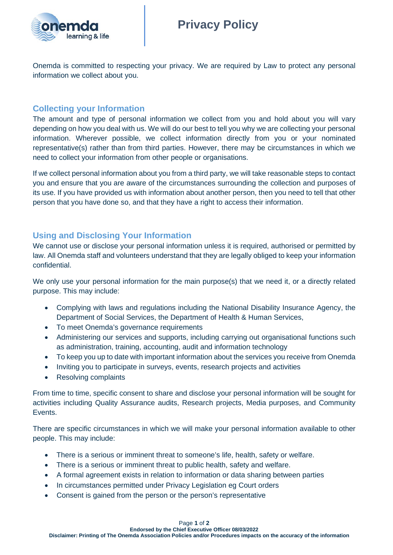

# **Privacy Policy**

Onemda is committed to respecting your privacy. We are required by Law to protect any personal information we collect about you.

#### **Collecting your Information**

The amount and type of personal information we collect from you and hold about you will vary depending on how you deal with us. We will do our best to tell you why we are collecting your personal information. Wherever possible, we collect information directly from you or your nominated representative(s) rather than from third parties. However, there may be circumstances in which we need to collect your information from other people or organisations.

If we collect personal information about you from a third party, we will take reasonable steps to contact you and ensure that you are aware of the circumstances surrounding the collection and purposes of its use. If you have provided us with information about another person, then you need to tell that other person that you have done so, and that they have a right to access their information.

### **Using and Disclosing Your Information**

We cannot use or disclose your personal information unless it is required, authorised or permitted by law. All Onemda staff and volunteers understand that they are legally obliged to keep your information confidential.

We only use your personal information for the main purpose(s) that we need it, or a directly related purpose. This may include:

- Complying with laws and regulations including the National Disability Insurance Agency, the Department of Social Services, the Department of Health & Human Services,
- To meet Onemda's governance requirements
- Administering our services and supports, including carrying out organisational functions such as administration, training, accounting, audit and information technology
- To keep you up to date with important information about the services you receive from Onemda
- Inviting you to participate in surveys, events, research projects and activities
- Resolving complaints

From time to time, specific consent to share and disclose your personal information will be sought for activities including Quality Assurance audits, Research projects, Media purposes, and Community Events.

There are specific circumstances in which we will make your personal information available to other people. This may include:

- There is a serious or imminent threat to someone's life, health, safety or welfare.
- There is a serious or imminent threat to public health, safety and welfare.
- A formal agreement exists in relation to information or data sharing between parties
- In circumstances permitted under Privacy Legislation eg Court orders
- Consent is gained from the person or the person's representative